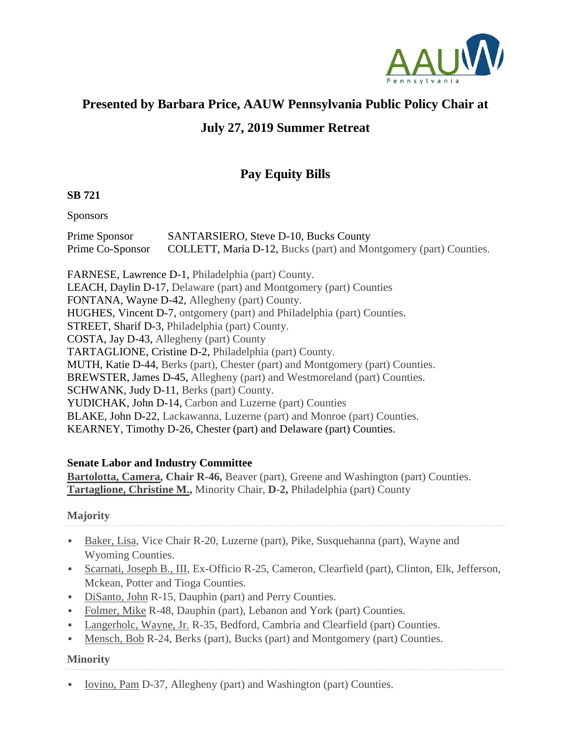

## **Presented by Barbara Price, AAUW Pennsylvania Public Policy Chair at**

## **July 27, 2019 Summer Retreat**

# **Pay Equity Bills**

### **SB 721**

Sponsors

| Prime Sponsor                                                                  | SANTARSIERO, Steve D-10, Bucks County                                           |
|--------------------------------------------------------------------------------|---------------------------------------------------------------------------------|
| Prime Co-Sponsor                                                               | COLLETT, Maria D-12, Bucks (part) and Montgomery (part) Counties.               |
|                                                                                |                                                                                 |
| FARNESE, Lawrence D-1, Philadelphia (part) County.                             |                                                                                 |
|                                                                                | LEACH, Daylin D-17, Delaware (part) and Montgomery (part) Counties              |
|                                                                                | FONTANA, Wayne D-42, Allegheny (part) County.                                   |
| HUGHES, Vincent D-7, ontgomery (part) and Philadelphia (part) Counties.        |                                                                                 |
| STREET, Sharif D-3, Philadelphia (part) County.                                |                                                                                 |
| COSTA, Jay D-43, Allegheny (part) County                                       |                                                                                 |
| TARTAGLIONE, Cristine D-2, Philadelphia (part) County.                         |                                                                                 |
| MUTH, Katie D-44, Berks (part), Chester (part) and Montgomery (part) Counties. |                                                                                 |
|                                                                                | <b>BREWSTER, James D-45, Allegheny (part) and Westmoreland (part) Counties.</b> |
| SCHWANK, Judy D-11, Berks (part) County.                                       |                                                                                 |
| YUDICHAK, John D-14, Carbon and Luzerne (part) Counties                        |                                                                                 |
| BLAKE, John D-22, Lackawanna, Luzerne (part) and Monroe (part) Counties.       |                                                                                 |
| KEARNEY, Timothy D-26, Chester (part) and Delaware (part) Counties.            |                                                                                 |

### **Senate Labor and Industry Committee**

**[Bartolotta, Camera,](https://www.legis.state.pa.us/cfdocs/legis/home/member_information/senate_bio.cfm?id=1698) Chair R-46,** Beaver (part), Greene and Washington (part) Counties. **[Tartaglione, Christine M.,](https://www.legis.state.pa.us/cfdocs/legis/home/member_information/senate_bio.cfm?id=277)** Minority Chair, **D-2,** Philadelphia (part) County

## **Majority**

- [Baker, Lisa,](https://www.legis.state.pa.us/cfdocs/legis/home/member_information/senate_bio.cfm?id=1077) Vice Chair R-20, Luzerne (part), Pike, Susquehanna (part), Wayne and Wyoming Counties.
- [Scarnati, Joseph B., III,](https://www.legis.state.pa.us/cfdocs/legis/home/member_information/senate_bio.cfm?id=283) Ex-Officio R-25, Cameron, Clearfield (part), Clinton, Elk, Jefferson, Mckean, Potter and Tioga Counties.
- [DiSanto, John](https://www.legis.state.pa.us/cfdocs/legis/home/member_information/senate_bio.cfm?id=1765) R-15, Dauphin (part) and Perry Counties.
- [Folmer, Mike](https://www.legis.state.pa.us/cfdocs/legis/home/member_information/senate_bio.cfm?id=1080) R-48, Dauphin (part), Lebanon and York (part) Counties.
- [Langerholc, Wayne, Jr.](https://www.legis.state.pa.us/cfdocs/legis/home/member_information/senate_bio.cfm?id=1764) R-35, Bedford, Cambria and Clearfield (part) Counties.
- [Mensch, Bob](https://www.legis.state.pa.us/cfdocs/legis/home/member_information/senate_bio.cfm?id=1121) R-24, Berks (part), Bucks (part) and Montgomery (part) Counties.

## **Minority**

▪ [Iovino, Pam](https://www.legis.state.pa.us/cfdocs/legis/home/member_information/senate_bio.cfm?id=1867) D-37, Allegheny (part) and Washington (part) Counties.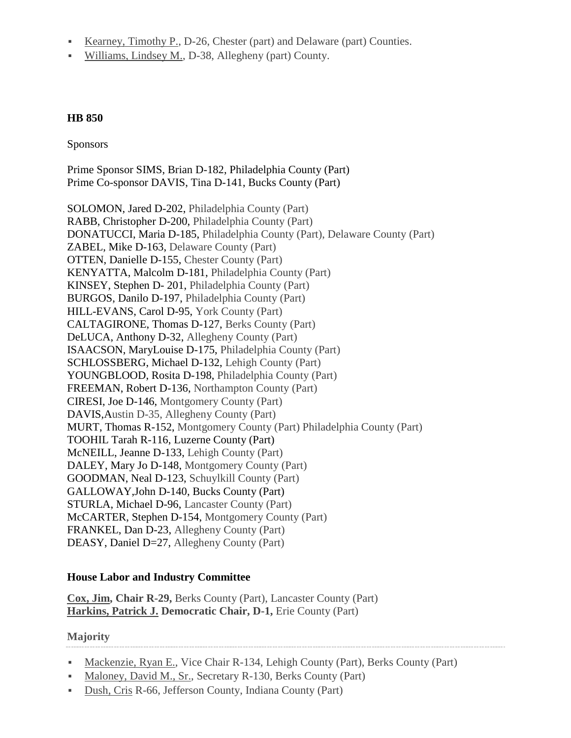- [Kearney, Timothy P.,](https://www.legis.state.pa.us/cfdocs/legis/home/member_information/senate_bio.cfm?id=1800) D-26, Chester (part) and Delaware (part) Counties.
- [Williams, Lindsey M.,](https://www.legis.state.pa.us/cfdocs/legis/home/member_information/senate_bio.cfm?id=1803) D-38, Allegheny (part) County.

#### **HB 850**

**Sponsors** 

Prime Sponsor SIMS, Brian D-182, Philadelphia County (Part) Prime Co-sponsor DAVIS, Tina D-141, Bucks County (Part)

SOLOMON, Jared D-202, Philadelphia County (Part) RABB, Christopher D-200, Philadelphia County (Part) DONATUCCI, Maria D-185, Philadelphia County (Part), Delaware County (Part) ZABEL, Mike D-163, Delaware County (Part) OTTEN, Danielle D-155, Chester County (Part) KENYATTA, Malcolm D-181, Philadelphia County (Part) KINSEY, Stephen D- 201, Philadelphia County (Part) BURGOS, Danilo D-197, Philadelphia County (Part) HILL-EVANS, Carol D-95, York County (Part) CALTAGIRONE, Thomas D-127, Berks County (Part) DeLUCA, Anthony D-32, Allegheny County (Part) ISAACSON, MaryLouise D-175, Philadelphia County (Part) SCHLOSSBERG, Michael D-132, Lehigh County (Part) YOUNGBLOOD, Rosita D-198, Philadelphia County (Part) FREEMAN, Robert D-136, Northampton County (Part) CIRESI, Joe D-146, Montgomery County (Part) DAVIS,Austin D-35, Allegheny County (Part) MURT, Thomas R-152, Montgomery County (Part) Philadelphia County (Part) TOOHIL Tarah R-116, Luzerne County (Part) McNEILL, Jeanne D-133, Lehigh County (Part) DALEY, Mary Jo D-148, Montgomery County (Part) GOODMAN, Neal D-123, Schuylkill County (Part) GALLOWAY,John D-140, Bucks County (Part) STURLA, Michael D-96, Lancaster County (Part) McCARTER, Stephen D-154, Montgomery County (Part) FRANKEL, Dan D-23, Allegheny County (Part) DEASY, Daniel D=27, Allegheny County (Part)

### **House Labor and Industry Committee**

**[Cox, Jim,](https://www.legis.state.pa.us/cfdocs/legis/home/member_information/house_bio.cfm?id=1114) Chair R-29,** Berks County (Part), Lancaster County (Part) **[Harkins, Patrick J.](https://www.legis.state.pa.us/cfdocs/legis/home/member_information/house_bio.cfm?id=1081) Democratic Chair, D-1,** Erie County (Part)

**Majority**

- [Mackenzie, Ryan E.,](https://www.legis.state.pa.us/cfdocs/legis/home/member_information/house_bio.cfm?id=1614) Vice Chair R-134, Lehigh County (Part), Berks County (Part)
- [Maloney, David M., Sr.,](https://www.legis.state.pa.us/cfdocs/legis/home/member_information/house_bio.cfm?id=1226) Secretary R-130, Berks County (Part)
- [Dush, Cris](https://www.legis.state.pa.us/cfdocs/legis/home/member_information/house_bio.cfm?id=1687) R-66, Jefferson County, Indiana County (Part)